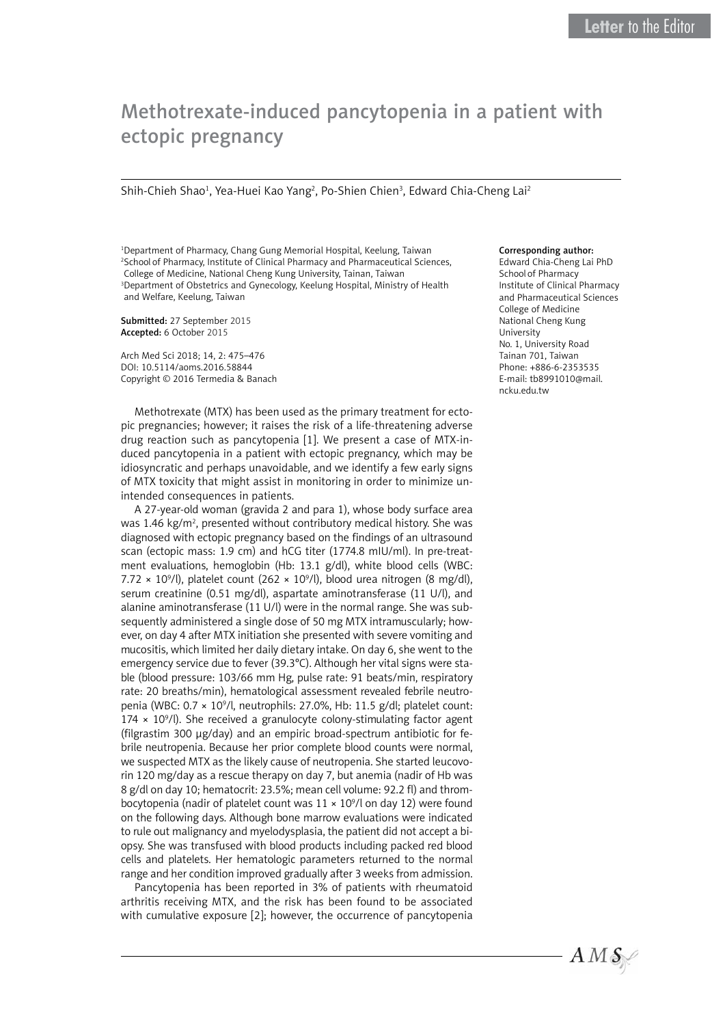## Methotrexate-induced pancytopenia in a patient with ectopic pregnancy

Shih-Chieh Shao<sup>1</sup>, Yea-Huei Kao Yang<sup>2</sup>, Po-Shien Chien<sup>3</sup>, Edward Chia-Cheng Lai<sup>2</sup>

1 Department of Pharmacy, Chang Gung Memorial Hospital, Keelung, Taiwan 2 School of Pharmacy, Institute of Clinical Pharmacy and Pharmaceutical Sciences, College of Medicine, National Cheng Kung University, Tainan, Taiwan 3 Department of Obstetrics and Gynecology, Keelung Hospital, Ministry of Health and Welfare, Keelung, Taiwan

Submitted: 27 September 2015 Accepted: 6 October 2015

Arch Med Sci 2018; 14, 2: 475–476 DOI: 10.5114/aoms.2016.58844 Copyright © 2016 Termedia & Banach

Methotrexate (MTX) has been used as the primary treatment for ectopic pregnancies; however; it raises the risk of a life-threatening adverse drug reaction such as pancytopenia [1]. We present a case of MTX-induced pancytopenia in a patient with ectopic pregnancy, which may be idiosyncratic and perhaps unavoidable, and we identify a few early signs of MTX toxicity that might assist in monitoring in order to minimize unintended consequences in patients.

A 27-year-old woman (gravida 2 and para 1), whose body surface area was 1.46 kg/m<sup>2</sup>, presented without contributory medical history. She was diagnosed with ectopic pregnancy based on the findings of an ultrasound scan (ectopic mass: 1.9 cm) and hCG titer (1774.8 mIU/ml). In pre-treatment evaluations, hemoglobin (Hb: 13.1 g/dl), white blood cells (WBC:  $7.72 \times 10^9$ /l), platelet count (262  $\times$  10<sup>9</sup>/l), blood urea nitrogen (8 mg/dl), serum creatinine (0.51 mg/dl), aspartate aminotransferase (11 U/l), and alanine aminotransferase (11 U/l) were in the normal range. She was subsequently administered a single dose of 50 mg MTX intramuscularly; however, on day 4 after MTX initiation she presented with severe vomiting and mucositis, which limited her daily dietary intake. On day 6, she went to the emergency service due to fever (39.3°C). Although her vital signs were stable (blood pressure: 103/66 mm Hg, pulse rate: 91 beats/min, respiratory rate: 20 breaths/min), hematological assessment revealed febrile neutropenia (WBC: 0.7 × 10<sup>9</sup>/l, neutrophils: 27.0%, Hb: 11.5 g/dl; platelet count:  $174 \times 10^9$ /l). She received a granulocyte colony-stimulating factor agent (filgrastim 300 μg/day) and an empiric broad-spectrum antibiotic for febrile neutropenia. Because her prior complete blood counts were normal, we suspected MTX as the likely cause of neutropenia. She started leucovorin 120 mg/day as a rescue therapy on day 7, but anemia (nadir of Hb was 8 g/dl on day 10; hematocrit: 23.5%; mean cell volume: 92.2 fl) and thrombocytopenia (nadir of platelet count was  $11 \times 10^9$ /l on day 12) were found on the following days. Although bone marrow evaluations were indicated to rule out malignancy and myelodysplasia, the patient did not accept a biopsy. She was transfused with blood products including packed red blood cells and platelets. Her hematologic parameters returned to the normal range and her condition improved gradually after 3 weeks from admission.

Pancytopenia has been reported in 3% of patients with rheumatoid arthritis receiving MTX, and the risk has been found to be associated with cumulative exposure [2]; however, the occurrence of pancytopenia

## Corresponding author:

Edward Chia-Cheng Lai PhD School of Pharmacy Institute of Clinical Pharmacy and Pharmaceutical Sciences College of Medicine National Cheng Kung University No. 1, University Road Tainan 701, Taiwan Phone: +886-6-2353535 E-mail: tb8991010@mail. ncku.edu.tw